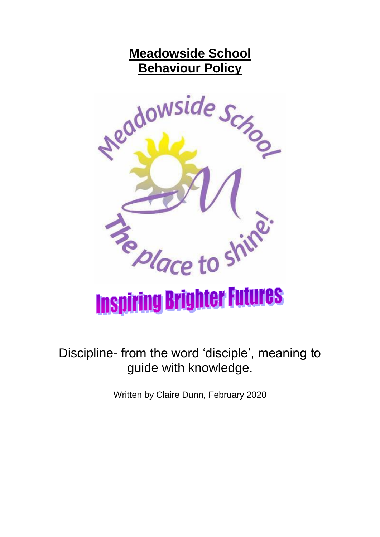# **Meadowside School Behaviour Policy**



Discipline- from the word 'disciple', meaning to guide with knowledge.

Written by Claire Dunn, February 2020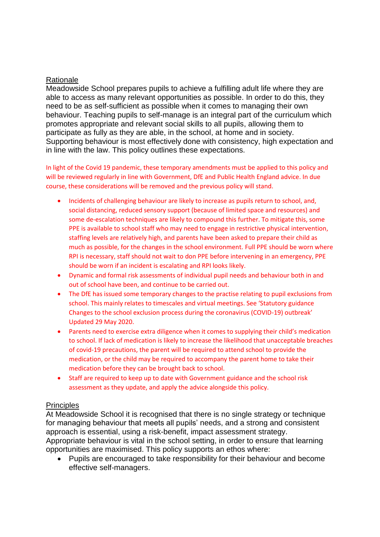#### **Rationale**

Meadowside School prepares pupils to achieve a fulfilling adult life where they are able to access as many relevant opportunities as possible. In order to do this, they need to be as self-sufficient as possible when it comes to managing their own behaviour. Teaching pupils to self-manage is an integral part of the curriculum which promotes appropriate and relevant social skills to all pupils, allowing them to participate as fully as they are able, in the school, at home and in society. Supporting behaviour is most effectively done with consistency, high expectation and in line with the law. This policy outlines these expectations.

In light of the Covid 19 pandemic, these temporary amendments must be applied to this policy and will be reviewed regularly in line with Government, DfE and Public Health England advice. In due course, these considerations will be removed and the previous policy will stand.

- Incidents of challenging behaviour are likely to increase as pupils return to school, and, social distancing, reduced sensory support (because of limited space and resources) and some de-escalation techniques are likely to compound this further. To mitigate this, some PPE is available to school staff who may need to engage in restrictive physical intervention, staffing levels are relatively high, and parents have been asked to prepare their child as much as possible, for the changes in the school environment. Full PPE should be worn where RPI is necessary, staff should not wait to don PPE before intervening in an emergency, PPE should be worn if an incident is escalating and RPI looks likely.
- Dynamic and formal risk assessments of individual pupil needs and behaviour both in and out of school have been, and continue to be carried out.
- The DfE has issued some temporary changes to the practise relating to pupil exclusions from school. This mainly relates to timescales and virtual meetings. See 'Statutory guidance Changes to the school exclusion process during the coronavirus (COVID-19) outbreak' Updated 29 May 2020.
- Parents need to exercise extra diligence when it comes to supplying their child's medication to school. If lack of medication is likely to increase the likelihood that unacceptable breaches of covid-19 precautions, the parent will be required to attend school to provide the medication, or the child may be required to accompany the parent home to take their medication before they can be brought back to school.
- Staff are required to keep up to date with Government guidance and the school risk assessment as they update, and apply the advice alongside this policy.

#### **Principles**

At Meadowside School it is recognised that there is no single strategy or technique for managing behaviour that meets all pupils' needs, and a strong and consistent approach is essential, using a risk-benefit, impact assessment strategy.

Appropriate behaviour is vital in the school setting, in order to ensure that learning opportunities are maximised. This policy supports an ethos where:

 Pupils are encouraged to take responsibility for their behaviour and become effective self-managers.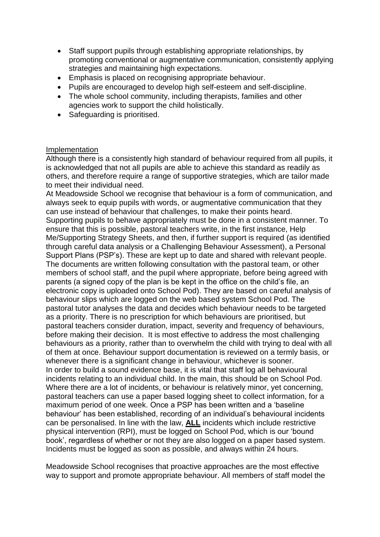- Staff support pupils through establishing appropriate relationships, by promoting conventional or augmentative communication, consistently applying strategies and maintaining high expectations.
- Emphasis is placed on recognising appropriate behaviour.
- Pupils are encouraged to develop high self-esteem and self-discipline.
- The whole school community, including therapists, families and other agencies work to support the child holistically.
- Safeguarding is prioritised.

### Implementation

Although there is a consistently high standard of behaviour required from all pupils, it is acknowledged that not all pupils are able to achieve this standard as readily as others, and therefore require a range of supportive strategies, which are tailor made to meet their individual need.

At Meadowside School we recognise that behaviour is a form of communication, and always seek to equip pupils with words, or augmentative communication that they can use instead of behaviour that challenges, to make their points heard. Supporting pupils to behave appropriately must be done in a consistent manner. To ensure that this is possible, pastoral teachers write, in the first instance, Help Me/Supporting Strategy Sheets, and then, if further support is required (as identified through careful data analysis or a Challenging Behaviour Assessment), a Personal Support Plans (PSP's). These are kept up to date and shared with relevant people. The documents are written following consultation with the pastoral team, or other members of school staff, and the pupil where appropriate, before being agreed with parents (a signed copy of the plan is be kept in the office on the child's file, an electronic copy is uploaded onto School Pod). They are based on careful analysis of behaviour slips which are logged on the web based system School Pod. The pastoral tutor analyses the data and decides which behaviour needs to be targeted as a priority. There is no prescription for which behaviours are prioritised, but pastoral teachers consider duration, impact, severity and frequency of behaviours, before making their decision. It is most effective to address the most challenging behaviours as a priority, rather than to overwhelm the child with trying to deal with all of them at once. Behaviour support documentation is reviewed on a termly basis, or whenever there is a significant change in behaviour, whichever is sooner. In order to build a sound evidence base, it is vital that staff log all behavioural incidents relating to an individual child. In the main, this should be on School Pod. Where there are a lot of incidents, or behaviour is relatively minor, yet concerning, pastoral teachers can use a paper based logging sheet to collect information, for a maximum period of one week. Once a PSP has been written and a 'baseline behaviour' has been established, recording of an individual's behavioural incidents can be personalised. In line with the law, **ALL** incidents which include restrictive physical intervention (RPI), must be logged on School Pod, which is our 'bound book', regardless of whether or not they are also logged on a paper based system. Incidents must be logged as soon as possible, and always within 24 hours.

Meadowside School recognises that proactive approaches are the most effective way to support and promote appropriate behaviour. All members of staff model the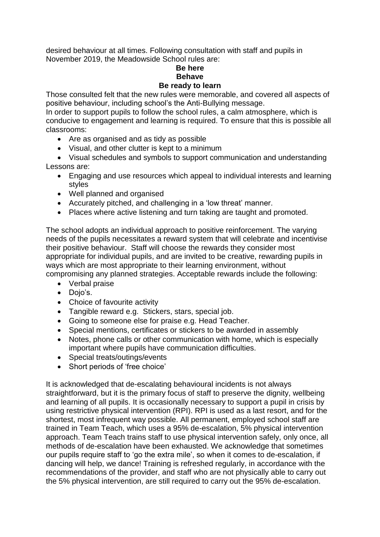desired behaviour at all times. Following consultation with staff and pupils in November 2019, the Meadowside School rules are:

# **Be here Behave**

## **Be ready to learn**

Those consulted felt that the new rules were memorable, and covered all aspects of positive behaviour, including school's the Anti-Bullying message.

In order to support pupils to follow the school rules, a calm atmosphere, which is conducive to engagement and learning is required. To ensure that this is possible all classrooms:

- Are as organised and as tidy as possible
- Visual, and other clutter is kept to a minimum

 Visual schedules and symbols to support communication and understanding Lessons are:

- Engaging and use resources which appeal to individual interests and learning styles
- Well planned and organised
- Accurately pitched, and challenging in a 'low threat' manner.
- Places where active listening and turn taking are taught and promoted.

The school adopts an individual approach to positive reinforcement. The varying needs of the pupils necessitates a reward system that will celebrate and incentivise their positive behaviour. Staff will choose the rewards they consider most appropriate for individual pupils, and are invited to be creative, rewarding pupils in ways which are most appropriate to their learning environment, without compromising any planned strategies. Acceptable rewards include the following:

- Verbal praise
- Dojo's.
- Choice of favourite activity
- Tangible reward e.g. Stickers, stars, special job.
- Going to someone else for praise e.g. Head Teacher.
- Special mentions, certificates or stickers to be awarded in assembly
- Notes, phone calls or other communication with home, which is especially important where pupils have communication difficulties.
- Special treats/outings/events
- Short periods of 'free choice'

It is acknowledged that de-escalating behavioural incidents is not always straightforward, but it is the primary focus of staff to preserve the dignity, wellbeing and learning of all pupils. It is occasionally necessary to support a pupil in crisis by using restrictive physical intervention (RPI). RPI is used as a last resort, and for the shortest, most infrequent way possible. All permanent, employed school staff are trained in Team Teach, which uses a 95% de-escalation, 5% physical intervention approach. Team Teach trains staff to use physical intervention safely, only once, all methods of de-escalation have been exhausted. We acknowledge that sometimes our pupils require staff to 'go the extra mile', so when it comes to de-escalation, if dancing will help, we dance! Training is refreshed regularly, in accordance with the recommendations of the provider, and staff who are not physically able to carry out the 5% physical intervention, are still required to carry out the 95% de-escalation.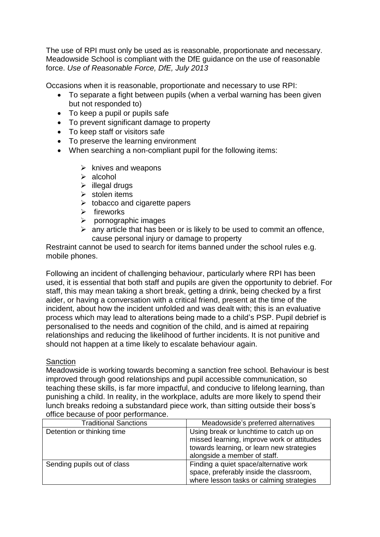The use of RPI must only be used as is reasonable, proportionate and necessary. Meadowside School is compliant with the DfE guidance on the use of reasonable force. *Use of Reasonable Force, DfE, July 2013*

Occasions when it is reasonable, proportionate and necessary to use RPI:

- To separate a fight between pupils (when a verbal warning has been given but not responded to)
- To keep a pupil or pupils safe
- To prevent significant damage to property
- To keep staff or visitors safe
- To preserve the learning environment
- When searching a non-compliant pupil for the following items:
	- $\triangleright$  knives and weapons
	- > alcohol
	- $\triangleright$  illegal drugs
	- $\triangleright$  stolen items
	- $\triangleright$  tobacco and cigarette papers
	- $\triangleright$  fireworks
	- $\triangleright$  pornographic images
	- $\triangleright$  any article that has been or is likely to be used to commit an offence, cause personal injury or damage to property

Restraint cannot be used to search for items banned under the school rules e.g. mobile phones.

Following an incident of challenging behaviour, particularly where RPI has been used, it is essential that both staff and pupils are given the opportunity to debrief. For staff, this may mean taking a short break, getting a drink, being checked by a first aider, or having a conversation with a critical friend, present at the time of the incident, about how the incident unfolded and was dealt with; this is an evaluative process which may lead to alterations being made to a child's PSP. Pupil debrief is personalised to the needs and cognition of the child, and is aimed at repairing relationships and reducing the likelihood of further incidents. It is not punitive and should not happen at a time likely to escalate behaviour again.

### **Sanction**

Meadowside is working towards becoming a sanction free school. Behaviour is best improved through good relationships and pupil accessible communication, so teaching these skills, is far more impactful, and conducive to lifelong learning, than punishing a child. In reality, in the workplace, adults are more likely to spend their lunch breaks redoing a substandard piece work, than sitting outside their boss's office because of poor performance.

| <b>Traditional Sanctions</b> | Meadowside's preferred alternatives                                                                                                                                |
|------------------------------|--------------------------------------------------------------------------------------------------------------------------------------------------------------------|
| Detention or thinking time   | Using break or lunchtime to catch up on<br>missed learning, improve work or attitudes<br>towards learning, or learn new strategies<br>alongside a member of staff. |
| Sending pupils out of class  | Finding a quiet space/alternative work<br>space, preferably inside the classroom,<br>where lesson tasks or calming strategies                                      |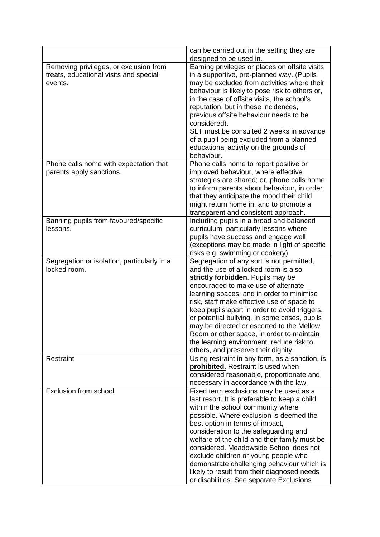|                                                                                             | can be carried out in the setting they are<br>designed to be used in.                                                                                                                                                                                                                                                                                                                                                                                                                                                                  |
|---------------------------------------------------------------------------------------------|----------------------------------------------------------------------------------------------------------------------------------------------------------------------------------------------------------------------------------------------------------------------------------------------------------------------------------------------------------------------------------------------------------------------------------------------------------------------------------------------------------------------------------------|
| Removing privileges, or exclusion from<br>treats, educational visits and special<br>events. | Earning privileges or places on offsite visits<br>in a supportive, pre-planned way. (Pupils<br>may be excluded from activities where their<br>behaviour is likely to pose risk to others or,<br>in the case of offsite visits, the school's<br>reputation, but in these incidences,<br>previous offsite behaviour needs to be<br>considered).<br>SLT must be consulted 2 weeks in advance<br>of a pupil being excluded from a planned<br>educational activity on the grounds of<br>behaviour.                                          |
| Phone calls home with expectation that                                                      | Phone calls home to report positive or                                                                                                                                                                                                                                                                                                                                                                                                                                                                                                 |
| parents apply sanctions.                                                                    | improved behaviour, where effective<br>strategies are shared; or, phone calls home<br>to inform parents about behaviour, in order<br>that they anticipate the mood their child<br>might return home in, and to promote a<br>transparent and consistent approach.                                                                                                                                                                                                                                                                       |
| Banning pupils from favoured/specific                                                       | Including pupils in a broad and balanced                                                                                                                                                                                                                                                                                                                                                                                                                                                                                               |
| lessons.                                                                                    | curriculum, particularly lessons where                                                                                                                                                                                                                                                                                                                                                                                                                                                                                                 |
|                                                                                             | pupils have success and engage well                                                                                                                                                                                                                                                                                                                                                                                                                                                                                                    |
|                                                                                             | (exceptions may be made in light of specific                                                                                                                                                                                                                                                                                                                                                                                                                                                                                           |
|                                                                                             | risks e.g. swimming or cookery)                                                                                                                                                                                                                                                                                                                                                                                                                                                                                                        |
| Segregation or isolation, particularly in a<br>locked room.                                 | Segregation of any sort is not permitted,<br>and the use of a locked room is also<br>strictly forbidden. Pupils may be<br>encouraged to make use of alternate<br>learning spaces, and in order to minimise<br>risk, staff make effective use of space to<br>keep pupils apart in order to avoid triggers,<br>or potential bullying. In some cases, pupils<br>may be directed or escorted to the Mellow<br>Room or other space, in order to maintain<br>the learning environment, reduce risk to<br>others, and preserve their dignity. |
| Restraint                                                                                   | Using restraint in any form, as a sanction, is<br>prohibited. Restraint is used when<br>considered reasonable, proportionate and<br>necessary in accordance with the law.                                                                                                                                                                                                                                                                                                                                                              |
| Exclusion from school                                                                       | Fixed term exclusions may be used as a<br>last resort. It is preferable to keep a child<br>within the school community where<br>possible. Where exclusion is deemed the<br>best option in terms of impact,<br>consideration to the safeguarding and<br>welfare of the child and their family must be<br>considered. Meadowside School does not<br>exclude children or young people who<br>demonstrate challenging behaviour which is<br>likely to result from their diagnosed needs<br>or disabilities. See separate Exclusions        |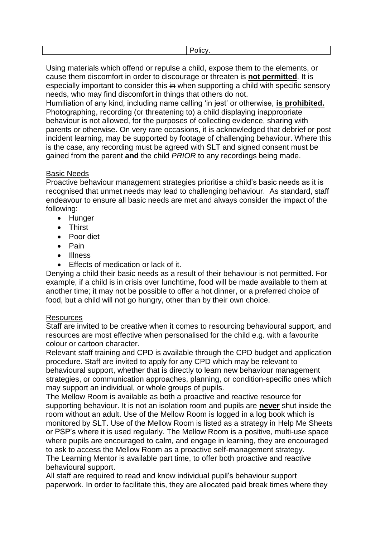| I |  |
|---|--|

Using materials which offend or repulse a child, expose them to the elements, or cause them discomfort in order to discourage or threaten is **not permitted**. It is especially important to consider this in when supporting a child with specific sensory needs, who may find discomfort in things that others do not.

Humiliation of any kind, including name calling 'in jest' or otherwise, **is prohibited.** Photographing, recording (or threatening to) a child displaying inappropriate behaviour is not allowed, for the purposes of collecting evidence, sharing with parents or otherwise. On very rare occasions, it is acknowledged that debrief or post incident learning, may be supported by footage of challenging behaviour. Where this is the case, any recording must be agreed with SLT and signed consent must be gained from the parent **and** the child *PRIOR* to any recordings being made.

# Basic Needs

Proactive behaviour management strategies prioritise a child's basic needs as it is recognised that unmet needs may lead to challenging behaviour. As standard, staff endeavour to ensure all basic needs are met and always consider the impact of the following:

- Hunger
- Thirst
- Poor diet
- Pain
- Illness
- Effects of medication or lack of it.

Denying a child their basic needs as a result of their behaviour is not permitted. For example, if a child is in crisis over lunchtime, food will be made available to them at another time; it may not be possible to offer a hot dinner, or a preferred choice of food, but a child will not go hungry, other than by their own choice.

### **Resources**

Staff are invited to be creative when it comes to resourcing behavioural support, and resources are most effective when personalised for the child e.g. with a favourite colour or cartoon character.

Relevant staff training and CPD is available through the CPD budget and application procedure. Staff are invited to apply for any CPD which may be relevant to behavioural support, whether that is directly to learn new behaviour management strategies, or communication approaches, planning, or condition-specific ones which may support an individual, or whole groups of pupils.

The Mellow Room is available as both a proactive and reactive resource for supporting behaviour. It is not an isolation room and pupils are **never** shut inside the room without an adult. Use of the Mellow Room is logged in a log book which is monitored by SLT. Use of the Mellow Room is listed as a strategy in Help Me Sheets or PSP's where it is used regularly. The Mellow Room is a positive, multi-use space where pupils are encouraged to calm, and engage in learning, they are encouraged to ask to access the Mellow Room as a proactive self-management strategy. The Learning Mentor is available part time, to offer both proactive and reactive behavioural support.

All staff are required to read and know individual pupil's behaviour support paperwork. In order to facilitate this, they are allocated paid break times where they